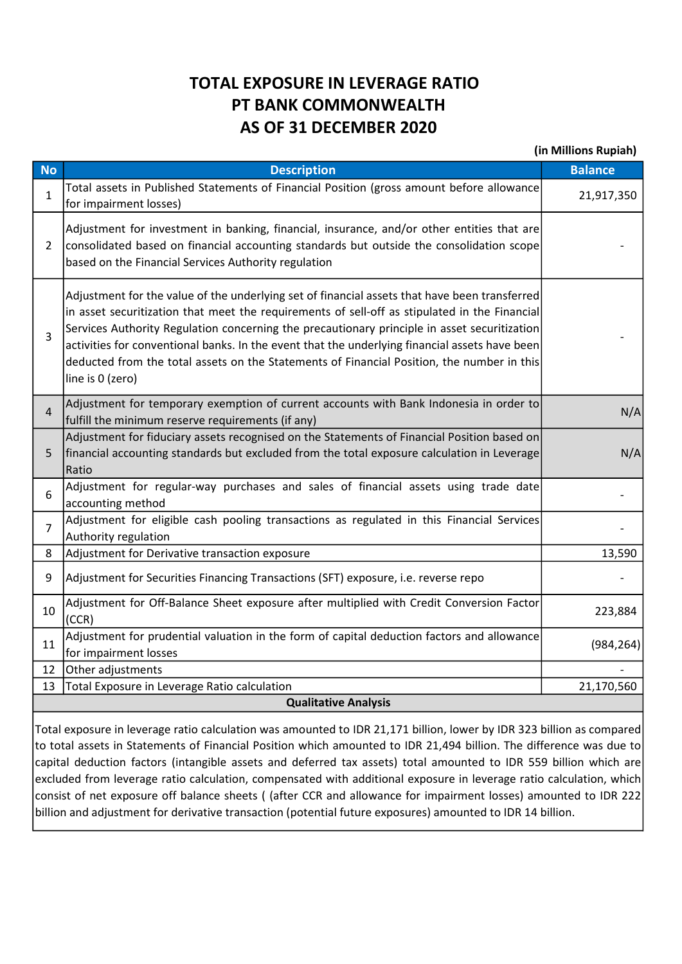## TOTAL EXPOSURE IN LEVERAGE RATIO PT BANK COMMONWEALTH AS OF 31 DECEMBER 2020

(in Millions Rupiah)

| <b>No</b>                   | <b>Description</b>                                                                                                                                                                                                                                                                                                                                                                                                                                                                                                 | ן וואושאו כוסוסווווזו ווון<br><b>Balance</b> |  |  |  |  |  |
|-----------------------------|--------------------------------------------------------------------------------------------------------------------------------------------------------------------------------------------------------------------------------------------------------------------------------------------------------------------------------------------------------------------------------------------------------------------------------------------------------------------------------------------------------------------|----------------------------------------------|--|--|--|--|--|
| $\mathbf{1}$                | Total assets in Published Statements of Financial Position (gross amount before allowance<br>for impairment losses)                                                                                                                                                                                                                                                                                                                                                                                                | 21,917,350                                   |  |  |  |  |  |
| 2                           | Adjustment for investment in banking, financial, insurance, and/or other entities that are<br>consolidated based on financial accounting standards but outside the consolidation scope<br>based on the Financial Services Authority regulation                                                                                                                                                                                                                                                                     |                                              |  |  |  |  |  |
| 3                           | Adjustment for the value of the underlying set of financial assets that have been transferred<br>in asset securitization that meet the requirements of sell-off as stipulated in the Financial<br>Services Authority Regulation concerning the precautionary principle in asset securitization<br>activities for conventional banks. In the event that the underlying financial assets have been<br>deducted from the total assets on the Statements of Financial Position, the number in this<br>line is 0 (zero) |                                              |  |  |  |  |  |
| $\overline{4}$              | Adjustment for temporary exemption of current accounts with Bank Indonesia in order to<br>fulfill the minimum reserve requirements (if any)                                                                                                                                                                                                                                                                                                                                                                        | N/A                                          |  |  |  |  |  |
| 5                           | Adjustment for fiduciary assets recognised on the Statements of Financial Position based on<br>financial accounting standards but excluded from the total exposure calculation in Leverage<br>Ratio                                                                                                                                                                                                                                                                                                                | N/A                                          |  |  |  |  |  |
| 6                           | Adjustment for regular-way purchases and sales of financial assets using trade date<br>accounting method                                                                                                                                                                                                                                                                                                                                                                                                           |                                              |  |  |  |  |  |
| $\overline{7}$              | Adjustment for eligible cash pooling transactions as regulated in this Financial Services<br>Authority regulation                                                                                                                                                                                                                                                                                                                                                                                                  |                                              |  |  |  |  |  |
| 8                           | Adjustment for Derivative transaction exposure                                                                                                                                                                                                                                                                                                                                                                                                                                                                     | 13,590                                       |  |  |  |  |  |
| 9                           | Adjustment for Securities Financing Transactions (SFT) exposure, i.e. reverse repo                                                                                                                                                                                                                                                                                                                                                                                                                                 |                                              |  |  |  |  |  |
| 10                          | Adjustment for Off-Balance Sheet exposure after multiplied with Credit Conversion Factor<br>(CCR)                                                                                                                                                                                                                                                                                                                                                                                                                  | 223,884                                      |  |  |  |  |  |
| 11                          | Adjustment for prudential valuation in the form of capital deduction factors and allowance<br>for impairment losses                                                                                                                                                                                                                                                                                                                                                                                                | (984, 264)                                   |  |  |  |  |  |
| 12                          | Other adjustments                                                                                                                                                                                                                                                                                                                                                                                                                                                                                                  |                                              |  |  |  |  |  |
| 13                          | Total Exposure in Leverage Ratio calculation                                                                                                                                                                                                                                                                                                                                                                                                                                                                       | 21,170,560                                   |  |  |  |  |  |
| <b>Qualitative Analysis</b> |                                                                                                                                                                                                                                                                                                                                                                                                                                                                                                                    |                                              |  |  |  |  |  |
|                             |                                                                                                                                                                                                                                                                                                                                                                                                                                                                                                                    |                                              |  |  |  |  |  |

Total exposure in leverage ratio calculation was amounted to IDR 21,171 billion, lower by IDR 323 billion as compared to total assets in Statements of Financial Position which amounted to IDR 21,494 billion. The difference was due to capital deduction factors (intangible assets and deferred tax assets) total amounted to IDR 559 billion which are excluded from leverage ratio calculation, compensated with additional exposure in leverage ratio calculation, which consist of net exposure off balance sheets ( (after CCR and allowance for impairment losses) amounted to IDR 222 billion and adjustment for derivative transaction (potential future exposures) amounted to IDR 14 billion.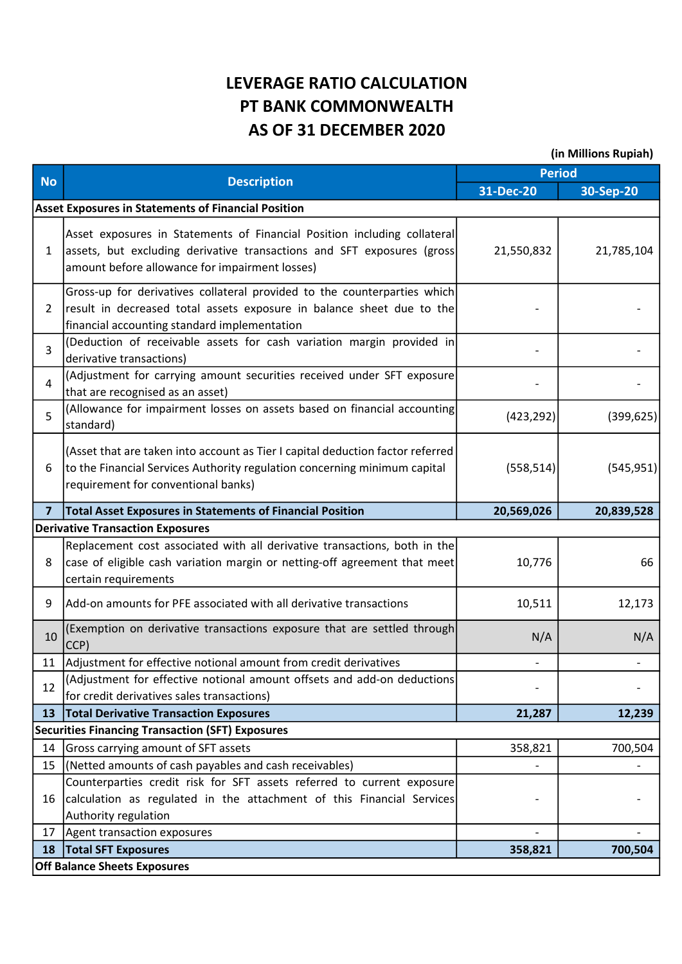## LEVERAGE RATIO CALCULATION PT BANK COMMONWEALTH AS OF 31 DECEMBER 2020

(in Millions Rupiah)

| <b>No</b>      | <b>Description</b>                                                                                                                                                                                    | <b>Period</b>            |            |  |  |  |
|----------------|-------------------------------------------------------------------------------------------------------------------------------------------------------------------------------------------------------|--------------------------|------------|--|--|--|
|                |                                                                                                                                                                                                       | 31-Dec-20                | 30-Sep-20  |  |  |  |
|                | <b>Asset Exposures in Statements of Financial Position</b>                                                                                                                                            |                          |            |  |  |  |
| $\mathbf{1}$   | Asset exposures in Statements of Financial Position including collateral<br>assets, but excluding derivative transactions and SFT exposures (gross)<br>amount before allowance for impairment losses) | 21,550,832               | 21,785,104 |  |  |  |
| $\overline{2}$ | Gross-up for derivatives collateral provided to the counterparties which<br>result in decreased total assets exposure in balance sheet due to the<br>financial accounting standard implementation     |                          |            |  |  |  |
| 3              | (Deduction of receivable assets for cash variation margin provided in<br>derivative transactions)                                                                                                     |                          |            |  |  |  |
| 4              | (Adjustment for carrying amount securities received under SFT exposure<br>that are recognised as an asset)                                                                                            |                          |            |  |  |  |
| 5              | (Allowance for impairment losses on assets based on financial accounting<br>standard)                                                                                                                 | (423, 292)               | (399, 625) |  |  |  |
| 6              | (Asset that are taken into account as Tier I capital deduction factor referred<br>to the Financial Services Authority regulation concerning minimum capital<br>requirement for conventional banks)    | (558, 514)               | (545, 951) |  |  |  |
| $\overline{7}$ | <b>Total Asset Exposures in Statements of Financial Position</b>                                                                                                                                      | 20,569,026               | 20,839,528 |  |  |  |
|                | <b>Derivative Transaction Exposures</b>                                                                                                                                                               |                          |            |  |  |  |
| 8              | Replacement cost associated with all derivative transactions, both in the<br>case of eligible cash variation margin or netting-off agreement that meet<br>certain requirements                        | 10,776                   | 66         |  |  |  |
| 9              | Add-on amounts for PFE associated with all derivative transactions                                                                                                                                    | 10,511                   | 12,173     |  |  |  |
| 10             | (Exemption on derivative transactions exposure that are settled through<br>CCP)                                                                                                                       | N/A                      | N/A        |  |  |  |
| 11             | Adjustment for effective notional amount from credit derivatives                                                                                                                                      |                          |            |  |  |  |
| 12             | (Adjustment for effective notional amount offsets and add-on deductions <br>for credit derivatives sales transactions)                                                                                |                          |            |  |  |  |
| 13             | <b>Total Derivative Transaction Exposures</b>                                                                                                                                                         | 21,287                   | 12,239     |  |  |  |
|                | <b>Securities Financing Transaction (SFT) Exposures</b>                                                                                                                                               |                          |            |  |  |  |
| 14             | Gross carrying amount of SFT assets                                                                                                                                                                   | 358,821                  | 700,504    |  |  |  |
| 15             | (Netted amounts of cash payables and cash receivables)                                                                                                                                                |                          |            |  |  |  |
| 16             | Counterparties credit risk for SFT assets referred to current exposure<br>calculation as regulated in the attachment of this Financial Services<br>Authority regulation                               |                          |            |  |  |  |
| 17             | Agent transaction exposures                                                                                                                                                                           | $\overline{\phantom{a}}$ |            |  |  |  |
| 18             | <b>Total SFT Exposures</b>                                                                                                                                                                            | 358,821                  | 700,504    |  |  |  |
|                | <b>Off Balance Sheets Exposures</b>                                                                                                                                                                   |                          |            |  |  |  |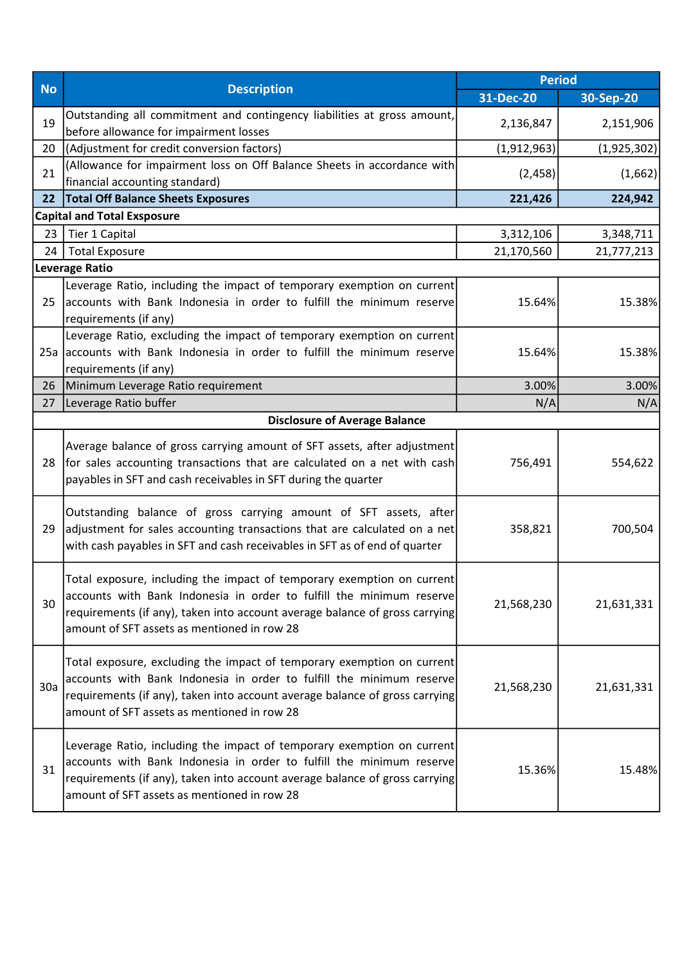| <b>No</b> | <b>Description</b>                                                                                                                                                                                                                                                           | <b>Period</b> |             |
|-----------|------------------------------------------------------------------------------------------------------------------------------------------------------------------------------------------------------------------------------------------------------------------------------|---------------|-------------|
|           |                                                                                                                                                                                                                                                                              | 31-Dec-20     | 30-Sep-20   |
| 19        | Outstanding all commitment and contingency liabilities at gross amount,<br>before allowance for impairment losses                                                                                                                                                            | 2,136,847     | 2,151,906   |
| 20        | (Adjustment for credit conversion factors)                                                                                                                                                                                                                                   | (1,912,963)   | (1,925,302) |
| 21        | (Allowance for impairment loss on Off Balance Sheets in accordance with<br>financial accounting standard)                                                                                                                                                                    | (2, 458)      | (1,662)     |
| 22        | <b>Total Off Balance Sheets Exposures</b>                                                                                                                                                                                                                                    | 221,426       | 224,942     |
|           | <b>Capital and Total Exsposure</b>                                                                                                                                                                                                                                           |               |             |
| 23        | Tier 1 Capital                                                                                                                                                                                                                                                               | 3,312,106     | 3,348,711   |
| 24        | <b>Total Exposure</b>                                                                                                                                                                                                                                                        | 21,170,560    | 21,777,213  |
|           | <b>Leverage Ratio</b>                                                                                                                                                                                                                                                        |               |             |
| 25        | Leverage Ratio, including the impact of temporary exemption on current<br>accounts with Bank Indonesia in order to fulfill the minimum reserve<br>requirements (if any)                                                                                                      | 15.64%        | 15.38%      |
| 25a       | Leverage Ratio, excluding the impact of temporary exemption on current<br>accounts with Bank Indonesia in order to fulfill the minimum reserve<br>requirements (if any)                                                                                                      | 15.64%        | 15.38%      |
| 26        | Minimum Leverage Ratio requirement                                                                                                                                                                                                                                           | 3.00%         | 3.00%       |
| 27        | Leverage Ratio buffer                                                                                                                                                                                                                                                        | N/A           | N/A         |
|           | <b>Disclosure of Average Balance</b>                                                                                                                                                                                                                                         |               |             |
| 28        | Average balance of gross carrying amount of SFT assets, after adjustment<br>for sales accounting transactions that are calculated on a net with cash<br>payables in SFT and cash receivables in SFT during the quarter                                                       | 756,491       | 554,622     |
| 29        | Outstanding balance of gross carrying amount of SFT assets, after<br>adjustment for sales accounting transactions that are calculated on a net<br>with cash payables in SFT and cash receivables in SFT as of end of quarter                                                 | 358,821       | 700,504     |
| 30        | Total exposure, including the impact of temporary exemption on current<br>accounts with Bank Indonesia in order to fulfill the minimum reserve<br>requirements (if any), taken into account average balance of gross carrying<br>amount of SFT assets as mentioned in row 28 | 21,568,230    | 21,631,331  |
| 30a       | Total exposure, excluding the impact of temporary exemption on current<br>accounts with Bank Indonesia in order to fulfill the minimum reserve<br>requirements (if any), taken into account average balance of gross carrying<br>amount of SFT assets as mentioned in row 28 | 21,568,230    | 21,631,331  |
| 31        | Leverage Ratio, including the impact of temporary exemption on current<br>accounts with Bank Indonesia in order to fulfill the minimum reserve<br>requirements (if any), taken into account average balance of gross carrying<br>amount of SFT assets as mentioned in row 28 | 15.36%        | 15.48%      |